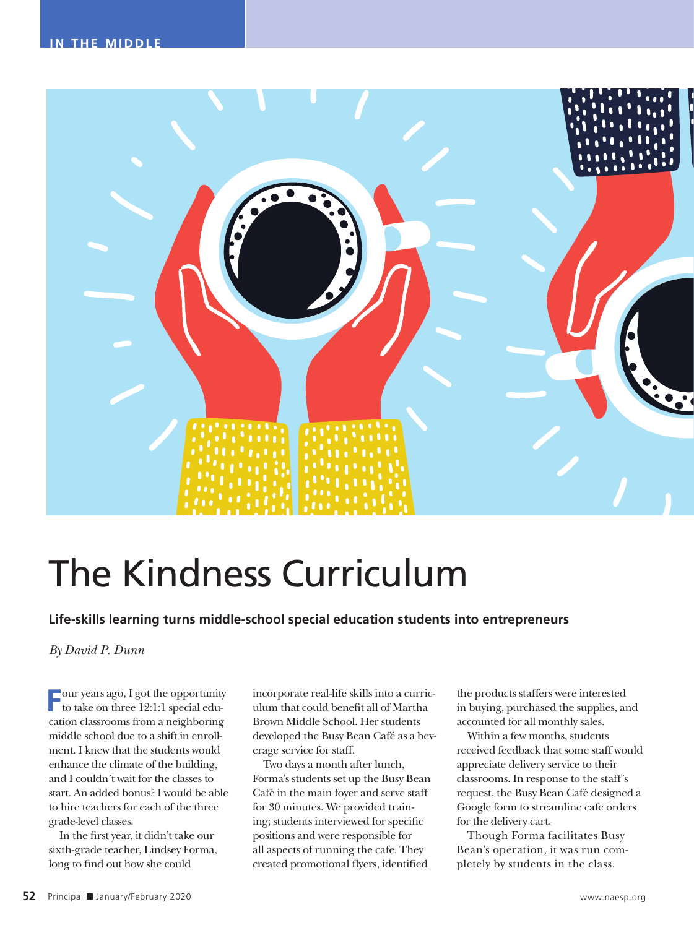

# The Kindness Curriculum

**Life-skills learning turns middle-school special education students into entrepreneurs**

*By David P. Dunn*

**F**our years ago, I got the opportunity to take on three 12:1:1 special education classrooms from a neighboring middle school due to a shift in enrollment. I knew that the students would enhance the climate of the building, and I couldn't wait for the classes to start. An added bonus? I would be able to hire teachers for each of the three grade-level classes.

In the first year, it didn't take our sixth-grade teacher, Lindsey Forma, long to find out how she could

incorporate real-life skills into a curriculum that could benefit all of Martha Brown Middle School. Her students developed the Busy Bean Café as a beverage service for staff.

Two days a month after lunch, Forma's students set up the Busy Bean Café in the main foyer and serve staff for 30 minutes. We provided training; students interviewed for specific positions and were responsible for all aspects of running the cafe. They created promotional flyers, identified

the products staffers were interested in buying, purchased the supplies, and accounted for all monthly sales.

Within a few months, students received feedback that some staff would appreciate delivery service to their classrooms. In response to the staff's request, the Busy Bean Café designed a Google form to streamline cafe orders for the delivery cart.

Though Forma facilitates Busy Bean's operation, it was run completely by students in the class.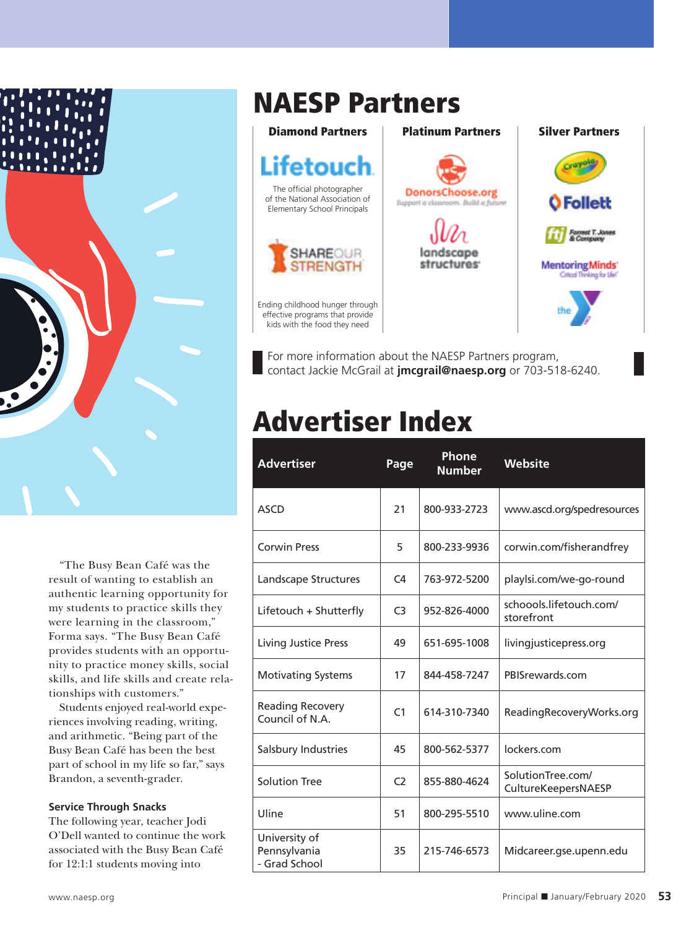

"The Busy Bean Café was the result of wanting to establish an authentic learning opportunity for my students to practice skills they were learning in the classroom," Forma says. "The Busy Bean Café provides students with an opportunity to practice money skills, social skills, and life skills and create relationships with customers."

Students enjoyed real-world experiences involving reading, writing, and arithmetic. "Being part of the Busy Bean Café has been the best part of school in my life so far," says Brandon, a seventh-grader.

#### **Service Through Snacks**

The following year, teacher Jodi O'Dell wanted to continue the work associated with the Busy Bean Café for 12:1:1 students moving into

### NAESP Partners



For more information about the NAESP Partners program, contact Jackie McGrail at **jmcgrail@naesp.org** or 703-518-6240.

## Advertiser Index

| <b>Advertiser</b>                              | Page           | <b>Phone</b><br><b>Number</b> | Website                                  |
|------------------------------------------------|----------------|-------------------------------|------------------------------------------|
| <b>ASCD</b>                                    | 21             | 800-933-2723                  | www.ascd.org/spedresources               |
| <b>Corwin Press</b>                            | 5              | 800-233-9936                  | corwin.com/fisherandfrey                 |
| Landscape Structures                           | C4             | 763-972-5200                  | playlsi.com/we-go-round                  |
| Lifetouch + Shutterfly                         | C <sub>3</sub> | 952-826-4000                  | schoools.lifetouch.com/<br>storefront    |
| Living Justice Press                           | 49             | 651-695-1008                  | livingjusticepress.org                   |
| <b>Motivating Systems</b>                      | 17             | 844-458-7247                  | PBISrewards.com                          |
| <b>Reading Recovery</b><br>Council of N.A.     | C <sub>1</sub> | 614-310-7340                  | ReadingRecoveryWorks.org                 |
| Salsbury Industries                            | 45             | 800-562-5377                  | lockers.com                              |
| <b>Solution Tree</b>                           | C <sub>2</sub> | 855-880-4624                  | SolutionTree.com/<br>CultureKeepersNAESP |
| Uline                                          | 51             | 800-295-5510                  | www.uline.com                            |
| University of<br>Pennsylvania<br>- Grad School | 35             | 215-746-6573                  | Midcareer.gse.upenn.edu                  |